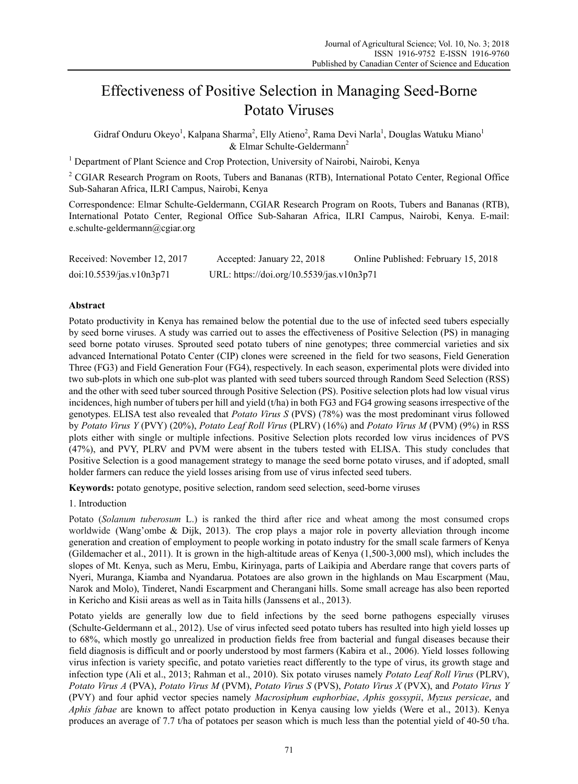# Effectiveness of Positive Selection in Managing Seed-Borne Potato Viruses

Gidraf Onduru Okeyo<sup>1</sup>, Kalpana Sharma<sup>2</sup>, Elly Atieno<sup>2</sup>, Rama Devi Narla<sup>1</sup>, Douglas Watuku Miano<sup>1</sup>  $&$  Elmar Schulte-Geldermann<sup>2</sup>

<sup>1</sup> Department of Plant Science and Crop Protection, University of Nairobi, Nairobi, Kenya

<sup>2</sup> CGIAR Research Program on Roots, Tubers and Bananas (RTB), International Potato Center, Regional Office Sub-Saharan Africa, ILRI Campus, Nairobi, Kenya

Correspondence: Elmar Schulte-Geldermann, CGIAR Research Program on Roots, Tubers and Bananas (RTB), International Potato Center, Regional Office Sub-Saharan Africa, ILRI Campus, Nairobi, Kenya. E-mail: e.schulte-geldermann@cgiar.org

| Received: November 12, 2017 | Accepted: January 22, 2018                | Online Published: February 15, 2018 |
|-----------------------------|-------------------------------------------|-------------------------------------|
| doi:10.5539/jas.v10n3p71    | URL: https://doi.org/10.5539/jas.v10n3p71 |                                     |

# **Abstract**

Potato productivity in Kenya has remained below the potential due to the use of infected seed tubers especially by seed borne viruses. A study was carried out to asses the effectiveness of Positive Selection (PS) in managing seed borne potato viruses. Sprouted seed potato tubers of nine genotypes; three commercial varieties and six advanced International Potato Center (CIP) clones were screened in the field for two seasons, Field Generation Three (FG3) and Field Generation Four (FG4), respectively. In each season, experimental plots were divided into two sub-plots in which one sub-plot was planted with seed tubers sourced through Random Seed Selection (RSS) and the other with seed tuber sourced through Positive Selection (PS). Positive selection plots had low visual virus incidences, high number of tubers per hill and yield (t/ha) in both FG3 and FG4 growing seasons irrespective of the genotypes. ELISA test also revealed that *Potato Virus S* (PVS) (78%) was the most predominant virus followed by *Potato Virus Y* (PVY) (20%), *Potato Leaf Roll Virus* (PLRV) (16%) and *Potato Virus M* (PVM) (9%) in RSS plots either with single or multiple infections. Positive Selection plots recorded low virus incidences of PVS (47%), and PVY, PLRV and PVM were absent in the tubers tested with ELISA. This study concludes that Positive Selection is a good management strategy to manage the seed borne potato viruses, and if adopted, small holder farmers can reduce the yield losses arising from use of virus infected seed tubers.

**Keywords:** potato genotype, positive selection, random seed selection, seed-borne viruses

# 1. Introduction

Potato (*Solanum tuberosum* L.) is ranked the third after rice and wheat among the most consumed crops worldwide (Wang'ombe & Dijk, 2013). The crop plays a major role in poverty alleviation through income generation and creation of employment to people working in potato industry for the small scale farmers of Kenya (Gildemacher et al., 2011). It is grown in the high-altitude areas of Kenya (1,500-3,000 msl), which includes the slopes of Mt. Kenya, such as Meru, Embu, Kirinyaga, parts of Laikipia and Aberdare range that covers parts of Nyeri, Muranga, Kiamba and Nyandarua. Potatoes are also grown in the highlands on Mau Escarpment (Mau, Narok and Molo), Tinderet, Nandi Escarpment and Cherangani hills. Some small acreage has also been reported in Kericho and Kisii areas as well as in Taita hills (Janssens et al., 2013).

Potato yields are generally low due to field infections by the seed borne pathogens especially viruses (Schulte-Geldermann et al., 2012). Use of virus infected seed potato tubers has resulted into high yield losses up to 68%, which mostly go unrealized in production fields free from bacterial and fungal diseases because their field diagnosis is difficult and or poorly understood by most farmers (Kabira et al., 2006). Yield losses following virus infection is variety specific, and potato varieties react differently to the type of virus, its growth stage and infection type (Ali et al., 2013; Rahman et al., 2010). Six potato viruses namely *Potato Leaf Roll Virus* (PLRV), *Potato Virus A* (PVA), *Potato Virus M* (PVM), *Potato Virus S* (PVS), *Potato Virus X* (PVX), and *Potato Virus Y* (PVY) and four aphid vector species namely *Macrosiphum euphorbiae*, *Aphis gossypii*, *Myzus persicae*, and *Aphis fabae* are known to affect potato production in Kenya causing low yields (Were et al., 2013). Kenya produces an average of 7.7 t/ha of potatoes per season which is much less than the potential yield of 40-50 t/ha.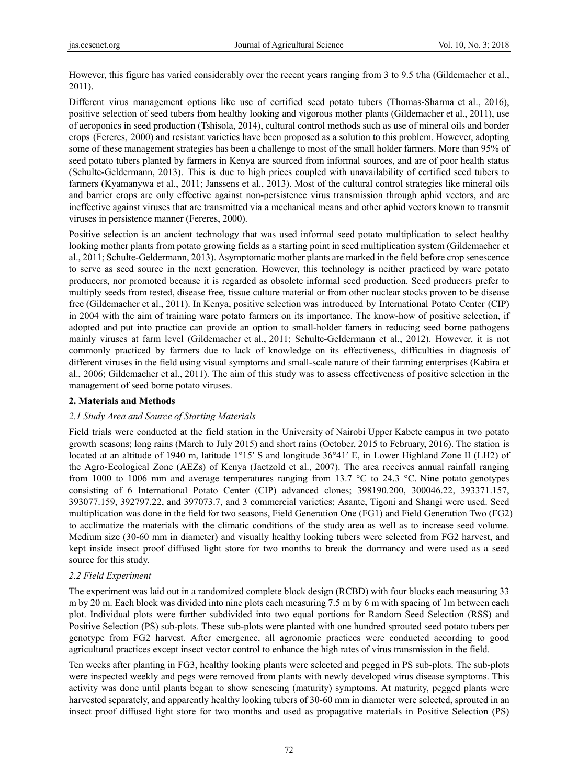However, this figure has varied considerably over the recent years ranging from 3 to 9.5 t/ha (Gildemacher et al., 2011).

Different virus management options like use of certified seed potato tubers (Thomas-Sharma et al., 2016), positive selection of seed tubers from healthy looking and vigorous mother plants (Gildemacher et al., 2011), use of aeroponics in seed production (Tshisola, 2014), cultural control methods such as use of mineral oils and border crops (Fereres, 2000) and resistant varieties have been proposed as a solution to this problem. However, adopting some of these management strategies has been a challenge to most of the small holder farmers. More than 95% of seed potato tubers planted by farmers in Kenya are sourced from informal sources, and are of poor health status (Schulte-Geldermann, 2013). This is due to high prices coupled with unavailability of certified seed tubers to farmers (Kyamanywa et al., 2011; Janssens et al., 2013). Most of the cultural control strategies like mineral oils and barrier crops are only effective against non-persistence virus transmission through aphid vectors, and are ineffective against viruses that are transmitted via a mechanical means and other aphid vectors known to transmit viruses in persistence manner (Fereres, 2000).

Positive selection is an ancient technology that was used informal seed potato multiplication to select healthy looking mother plants from potato growing fields as a starting point in seed multiplication system (Gildemacher et al., 2011; Schulte-Geldermann, 2013). Asymptomatic mother plants are marked in the field before crop senescence to serve as seed source in the next generation. However, this technology is neither practiced by ware potato producers, nor promoted because it is regarded as obsolete informal seed production. Seed producers prefer to multiply seeds from tested, disease free, tissue culture material or from other nuclear stocks proven to be disease free (Gildemacher et al., 2011). In Kenya, positive selection was introduced by International Potato Center (CIP) in 2004 with the aim of training ware potato farmers on its importance. The know-how of positive selection, if adopted and put into practice can provide an option to small-holder famers in reducing seed borne pathogens mainly viruses at farm level (Gildemacher et al., 2011; Schulte-Geldermann et al., 2012). However, it is not commonly practiced by farmers due to lack of knowledge on its effectiveness, difficulties in diagnosis of different viruses in the field using visual symptoms and small-scale nature of their farming enterprises (Kabira et al., 2006; Gildemacher et al., 2011). The aim of this study was to assess effectiveness of positive selection in the management of seed borne potato viruses.

# **2. Materials and Methods**

# *2.1 Study Area and Source of Starting Materials*

Field trials were conducted at the field station in the University of Nairobi Upper Kabete campus in two potato growth seasons; long rains (March to July 2015) and short rains (October, 2015 to February, 2016). The station is located at an altitude of 1940 m, latitude 1°15′ S and longitude 36°41′ E, in Lower Highland Zone II (LH2) of the Agro-Ecological Zone (AEZs) of Kenya (Jaetzold et al., 2007). The area receives annual rainfall ranging from 1000 to 1006 mm and average temperatures ranging from 13.7 °C to 24.3 °C. Nine potato genotypes consisting of 6 International Potato Center (CIP) advanced clones; 398190.200, 300046.22, 393371.157, 393077.159, 392797.22, and 397073.7, and 3 commercial varieties; Asante, Tigoni and Shangi were used. Seed multiplication was done in the field for two seasons, Field Generation One (FG1) and Field Generation Two (FG2) to acclimatize the materials with the climatic conditions of the study area as well as to increase seed volume. Medium size (30-60 mm in diameter) and visually healthy looking tubers were selected from FG2 harvest, and kept inside insect proof diffused light store for two months to break the dormancy and were used as a seed source for this study.

# *2.2 Field Experiment*

The experiment was laid out in a randomized complete block design (RCBD) with four blocks each measuring 33 m by 20 m. Each block was divided into nine plots each measuring 7.5 m by 6 m with spacing of 1m between each plot. Individual plots were further subdivided into two equal portions for Random Seed Selection (RSS) and Positive Selection (PS) sub-plots. These sub-plots were planted with one hundred sprouted seed potato tubers per genotype from FG2 harvest. After emergence, all agronomic practices were conducted according to good agricultural practices except insect vector control to enhance the high rates of virus transmission in the field.

Ten weeks after planting in FG3, healthy looking plants were selected and pegged in PS sub-plots. The sub-plots were inspected weekly and pegs were removed from plants with newly developed virus disease symptoms. This activity was done until plants began to show senescing (maturity) symptoms. At maturity, pegged plants were harvested separately, and apparently healthy looking tubers of 30-60 mm in diameter were selected, sprouted in an insect proof diffused light store for two months and used as propagative materials in Positive Selection (PS)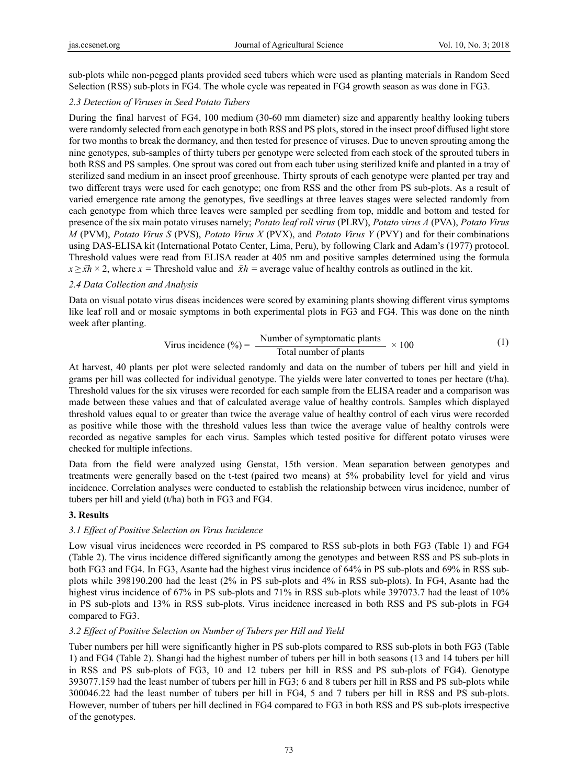sub-plots while non-pegged plants provided seed tubers which were used as planting materials in Random Seed Selection (RSS) sub-plots in FG4. The whole cycle was repeated in FG4 growth season as was done in FG3.

# *2.3 Detection of Viruses in Seed Potato Tubers*

During the final harvest of FG4, 100 medium (30-60 mm diameter) size and apparently healthy looking tubers were randomly selected from each genotype in both RSS and PS plots, stored in the insect proof diffused light store for two months to break the dormancy, and then tested for presence of viruses. Due to uneven sprouting among the nine genotypes, sub-samples of thirty tubers per genotype were selected from each stock of the sprouted tubers in both RSS and PS samples. One sprout was cored out from each tuber using sterilized knife and planted in a tray of sterilized sand medium in an insect proof greenhouse. Thirty sprouts of each genotype were planted per tray and two different trays were used for each genotype; one from RSS and the other from PS sub-plots. As a result of varied emergence rate among the genotypes, five seedlings at three leaves stages were selected randomly from each genotype from which three leaves were sampled per seedling from top, middle and bottom and tested for presence of the six main potato viruses namely; *Potato leaf roll virus* (PLRV), *Potato virus A* (PVA), *Potato Virus M* (PVM), *Potato Virus S* (PVS), *Potato Virus X* (PVX), and *Potato Virus Y* (PVY) and for their combinations using DAS-ELISA kit (International Potato Center, Lima, Peru), by following Clark and Adam's (1977) protocol. Threshold values were read from ELISA reader at 405 nm and positive samples determined using the formula  $x \geq \overline{x}h \times 2$ , where  $x =$ Threshold value and  $\overline{x}h =$  average value of healthy controls as outlined in the kit.

# *2.4 Data Collection and Analysis*

Data on visual potato virus diseas incidences were scored by examining plants showing different virus symptoms like leaf roll and or mosaic symptoms in both experimental plots in FG3 and FG4. This was done on the ninth week after planting.

Virus incidence (
$$
\degree_0
$$
) =  $\frac{\text{Number of symptomatic plants}}{\text{Total number of plants}} \times 100$  (1)

At harvest, 40 plants per plot were selected randomly and data on the number of tubers per hill and yield in grams per hill was collected for individual genotype. The yields were later converted to tones per hectare (t/ha). Threshold values for the six viruses were recorded for each sample from the ELISA reader and a comparison was made between these values and that of calculated average value of healthy controls. Samples which displayed threshold values equal to or greater than twice the average value of healthy control of each virus were recorded as positive while those with the threshold values less than twice the average value of healthy controls were recorded as negative samples for each virus. Samples which tested positive for different potato viruses were checked for multiple infections.

Data from the field were analyzed using Genstat, 15th version. Mean separation between genotypes and treatments were generally based on the t-test (paired two means) at 5% probability level for yield and virus incidence. Correlation analyses were conducted to establish the relationship between virus incidence, number of tubers per hill and yield (t/ha) both in FG3 and FG4.

# **3. Results**

# *3.1 Effect of Positive Selection on Virus Incidence*

Low visual virus incidences were recorded in PS compared to RSS sub-plots in both FG3 (Table 1) and FG4 (Table 2). The virus incidence differed significantly among the genotypes and between RSS and PS sub-plots in both FG3 and FG4. In FG3, Asante had the highest virus incidence of 64% in PS sub-plots and 69% in RSS subplots while 398190.200 had the least (2% in PS sub-plots and 4% in RSS sub-plots). In FG4, Asante had the highest virus incidence of 67% in PS sub-plots and 71% in RSS sub-plots while 397073.7 had the least of 10% in PS sub-plots and 13% in RSS sub-plots. Virus incidence increased in both RSS and PS sub-plots in FG4 compared to FG3.

# *3.2 Effect of Positive Selection on Number of Tubers per Hill and Yield*

Tuber numbers per hill were significantly higher in PS sub-plots compared to RSS sub-plots in both FG3 (Table 1) and FG4 (Table 2). Shangi had the highest number of tubers per hill in both seasons (13 and 14 tubers per hill in RSS and PS sub-plots of FG3, 10 and 12 tubers per hill in RSS and PS sub-plots of FG4). Genotype 393077.159 had the least number of tubers per hill in FG3; 6 and 8 tubers per hill in RSS and PS sub-plots while 300046.22 had the least number of tubers per hill in FG4, 5 and 7 tubers per hill in RSS and PS sub-plots. However, number of tubers per hill declined in FG4 compared to FG3 in both RSS and PS sub-plots irrespective of the genotypes.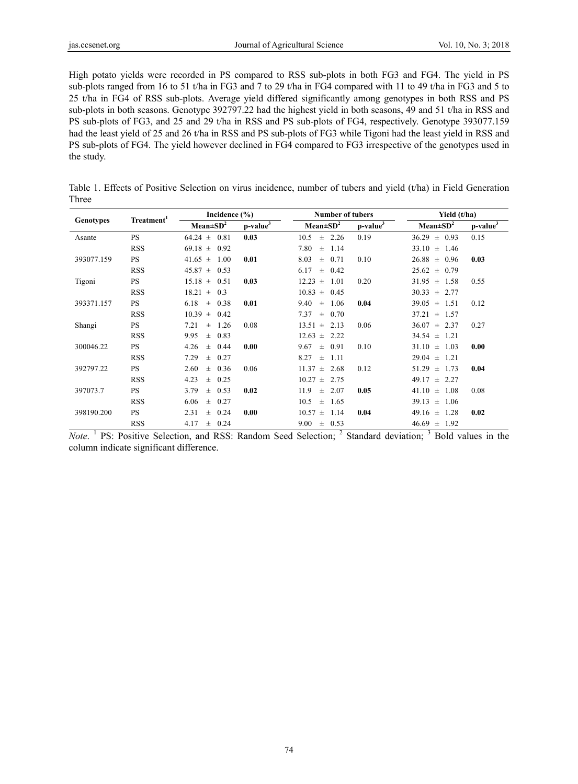High potato yields were recorded in PS compared to RSS sub-plots in both FG3 and FG4. The yield in PS sub-plots ranged from 16 to 51 t/ha in FG3 and 7 to 29 t/ha in FG4 compared with 11 to 49 t/ha in FG3 and 5 to 25 t/ha in FG4 of RSS sub-plots. Average yield differed significantly among genotypes in both RSS and PS sub-plots in both seasons. Genotype 392797.22 had the highest yield in both seasons, 49 and 51 t/ha in RSS and PS sub-plots of FG3, and 25 and 29 t/ha in RSS and PS sub-plots of FG4, respectively. Genotype 393077.159 had the least yield of 25 and 26 t/ha in RSS and PS sub-plots of FG3 while Tigoni had the least yield in RSS and PS sub-plots of FG4. The yield however declined in FG4 compared to FG3 irrespective of the genotypes used in the study.

|       | Table 1. Effects of Positive Selection on virus incidence, number of tubers and yield (t/ha) in Field Generation |  |  |  |  |  |  |
|-------|------------------------------------------------------------------------------------------------------------------|--|--|--|--|--|--|
| Three |                                                                                                                  |  |  |  |  |  |  |

|            | Treatment <sup>1</sup> | Incidence $(\% )$        |            | <b>Number of tubers</b>  |            | Yield (t/ha)           |                      |  |
|------------|------------------------|--------------------------|------------|--------------------------|------------|------------------------|----------------------|--|
| Genotypes  |                        | $Mean \pm SD^2$          | $p-value3$ | Mean $\pm SD^2$          | $p-value3$ | $Mean \pm SD^2$        | p-value <sup>3</sup> |  |
| Asante     | <b>PS</b>              | $64.24 \pm 0.81$         | 0.03       | 2.26<br>10.5<br>$\pm$    | 0.19       | 36.29<br>$\pm$ 0.93    | 0.15                 |  |
|            | <b>RSS</b>             | $69.18 \pm$<br>0.92      |            | 7.80<br>1.14<br>$_{\pm}$ |            | 33.10<br>1.46<br>$\pm$ |                      |  |
| 393077.159 | <b>PS</b>              | 1.00<br>41.65 $\pm$      | 0.01       | 8.03<br>0.71<br>$\pm$    | 0.10       | 26.88<br>0.96<br>$\pm$ | 0.03                 |  |
|            | <b>RSS</b>             | 45.87<br>$\pm$<br>0.53   |            | 6.17<br>0.42<br>$\pm$    |            | 25.62<br>0.79<br>$\pm$ |                      |  |
| Tigoni     | <b>PS</b>              | $15.18 \pm$<br>0.51      | 0.03       | 12.23<br>1.01<br>$\pm$   | 0.20       | 31.95<br>1.58<br>$\pm$ | 0.55                 |  |
|            | <b>RSS</b>             | $18.21 \pm$<br>0.3       |            | $10.83 \pm$<br>0.45      |            | 30.33<br>2.77<br>$\pm$ |                      |  |
| 393371.157 | <b>PS</b>              | 6.18<br>0.38<br>$\pm$    | 0.01       | 9.40<br>1.06<br>$\pm$    | 0.04       | 39.05<br>1.51<br>$\pm$ | 0.12                 |  |
|            | <b>RSS</b>             | 10.39<br>0.42<br>$\pm$   |            | 7.37<br>0.70<br>$\pm$    |            | 37.21<br>1.57<br>$\pm$ |                      |  |
| Shangi     | <b>PS</b>              | 1.26<br>7.21<br>$\pm$    | 0.08       | $13.51 \pm$<br>2.13      | 0.06       | 36.07<br>2.37<br>$\pm$ | 0.27                 |  |
|            | <b>RSS</b>             | 9.95<br>0.83<br>$\pm$    |            | 12.63<br>2.22<br>$\pm$   |            | 34.54<br>1.21<br>$\pm$ |                      |  |
| 300046.22  | <b>PS</b>              | 4.26<br>0.44<br>$\pm$    | 0.00       | 0.91<br>9.67<br>$\pm$    | 0.10       | 31.10<br>1.03<br>$\pm$ | 0.00                 |  |
|            | <b>RSS</b>             | 7.29<br>0.27<br>$\pm$    |            | 8.27<br>1.11<br>$\pm$    |            | 29.04<br>1.21<br>$\pm$ |                      |  |
| 392797.22  | <b>PS</b>              | 2.60<br>0.36<br>$\pm$    | 0.06       | 11.37<br>2.68<br>$\pm$   | 0.12       | 51.29<br>1.73<br>$\pm$ | 0.04                 |  |
|            | <b>RSS</b>             | 4.23<br>0.25<br>$\pm$    |            | $10.27 \pm$<br>2.75      |            | 49.17<br>2.27<br>$\pm$ |                      |  |
| 397073.7   | <b>PS</b>              | 3.79<br>0.53<br>$\pm$    | 0.02       | 11.9<br>2.07<br>$_{\pm}$ | 0.05       | 41.10<br>1.08<br>$\pm$ | 0.08                 |  |
|            | <b>RSS</b>             | 6.06<br>0.27<br>$\pm$    |            | 10.5<br>$\pm$<br>1.65    |            | 39.13<br>1.06<br>$\pm$ |                      |  |
| 398190.200 | <b>PS</b>              | 0.24<br>2.31<br>$\pm$    | 0.00       | $10.57 \pm$<br>1.14      | 0.04       | 1.28<br>49.16<br>$\pm$ | 0.02                 |  |
|            | <b>RSS</b>             | 4.17<br>0.24<br>$_{\pm}$ |            | 0.53<br>9.00<br>$\pm$    |            | 46.69<br>1.92<br>$\pm$ |                      |  |

*Note*. <sup>1</sup> PS: Positive Selection, and RSS: Random Seed Selection; <sup>2</sup> Standard deviation; <sup>3</sup> Bold values in the column indicate significant difference.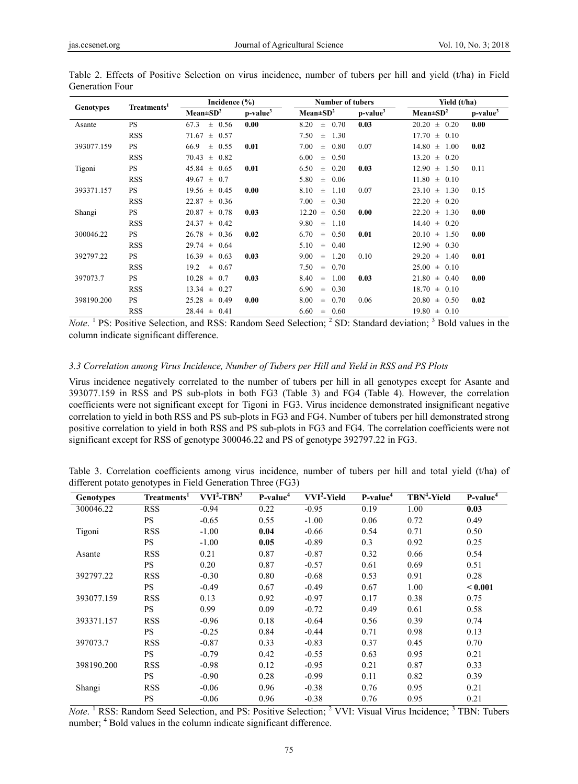|            |                         | Incidence $(\% )$      |            | <b>Number of tubers</b>  |                      | Yield (t/ha)           |            |  |
|------------|-------------------------|------------------------|------------|--------------------------|----------------------|------------------------|------------|--|
| Genotypes  | Treatments <sup>1</sup> | $Mean \pm SD^2$        | $p-value3$ | $Mean \pm SD^2$          | p-value <sup>3</sup> | $Mean \pm SD^2$        | $p-value3$ |  |
| Asante     | <b>PS</b>               | $\pm$ 0.56<br>67.3     | 0.00       | 0.70<br>8.20<br>$\pm$    | 0.03                 | $20.20 \pm 0.20$       | 0.00       |  |
|            | <b>RSS</b>              | 71.67<br>$\pm 0.57$    |            | 7.50<br>1.30<br>$\pm$    |                      | 17.70<br>$\pm$ 0.10    |            |  |
| 393077.159 | <b>PS</b>               | 66.9<br>$\pm$ 0.55     | 0.01       | 7.00<br>0.80<br>$\pm$    | 0.07                 | 14.80<br>$\pm$<br>1.00 | 0.02       |  |
|            | <b>RSS</b>              | $70.43 \pm 0.82$       |            | 6.00<br>0.50<br>$_{\pm}$ |                      | $13.20 \pm 0.20$       |            |  |
| Tigoni     | <b>PS</b>               | $45.84 \pm 0.65$       | 0.01       | 6.50<br>0.20<br>$\pm$    | 0.03                 | $12.90 \pm$<br>1.50    | 0.11       |  |
|            | <b>RSS</b>              | 49.67 $\pm$<br>0.7     |            | 5.80<br>0.06<br>$\pm$    |                      | 11.80<br>0.10<br>$\pm$ |            |  |
| 393371.157 | <b>PS</b>               | $19.56 \pm 0.45$       | 0.00       | 1.10<br>8.10<br>$\pm$    | 0.07                 | 23.10<br>1.30<br>$\pm$ | 0.15       |  |
|            | <b>RSS</b>              | $22.87 \pm 0.36$       |            | 7.00<br>0.30<br>$\pm$    |                      | 22.20<br>0.20<br>$\pm$ |            |  |
| Shangi     | <b>PS</b>               | $20.87 \pm 0.78$       | 0.03       | 12.20<br>0.50<br>$\pm$   | 0.00                 | 22.20<br>1.30<br>$\pm$ | 0.00       |  |
|            | <b>RSS</b>              | $24.37 \pm 0.42$       |            | 9.80<br>1.10<br>$\pm$    |                      | 14.40<br>$\pm$ 0.20    |            |  |
| 300046.22  | <b>PS</b>               | $26.78 \pm 0.36$       | 0.02       | 6.70<br>0.50<br>$\pm$    | 0.01                 | $20.10 \pm$<br>1.50    | 0.00       |  |
|            | <b>RSS</b>              | $29.74 \pm 0.64$       |            | 5.10<br>0.40<br>$\pm$    |                      | 12.90<br>$\pm$ 0.30    |            |  |
| 392797.22  | <b>PS</b>               | 16.39<br>$\pm$<br>0.63 | 0.03       | 1.20<br>9.00<br>$\pm$    | 0.10                 | 29.20<br>1.40<br>$\pm$ | 0.01       |  |
|            | <b>RSS</b>              | 19.2<br>0.67<br>$\pm$  |            | 7.50<br>0.70<br>$\pm$    |                      | 25.00<br>0.10<br>$\pm$ |            |  |
| 397073.7   | <b>PS</b>               | 10.28<br>0.7<br>$\pm$  | 0.03       | 1.00<br>8.40<br>$\pm$    | 0.03                 | 21.80<br>$\pm$<br>0.40 | 0.00       |  |
|            | <b>RSS</b>              | $13.34 \pm$<br>0.27    |            | 6.90<br>0.30<br>$\pm$    |                      | 18.70<br>0.10<br>$\pm$ |            |  |
| 398190.200 | <b>PS</b>               | $25.28 \pm 0.49$       | 0.00       | 8.00<br>0.70<br>$\pm$    | 0.06                 | $20.80 \pm$<br>0.50    | 0.02       |  |
|            | <b>RSS</b>              | $28.44 \pm 0.41$       |            | 6.60<br>0.60<br>$\pm$    |                      | $19.80 \pm 0.10$       |            |  |

Table 2. Effects of Positive Selection on virus incidence, number of tubers per hill and yield (t/ha) in Field Generation Four

*Note*. <sup>1</sup> PS: Positive Selection, and RSS: Random Seed Selection; <sup>2</sup> SD: Standard deviation; <sup>3</sup> Bold values in the column indicate significant difference.

# *3.3 Correlation among Virus Incidence, Number of Tubers per Hill and Yield in RSS and PS Plots*

Virus incidence negatively correlated to the number of tubers per hill in all genotypes except for Asante and 393077.159 in RSS and PS sub-plots in both FG3 (Table 3) and FG4 (Table 4). However, the correlation coefficients were not significant except for Tigoni in FG3. Virus incidence demonstrated insignificant negative correlation to yield in both RSS and PS sub-plots in FG3 and FG4. Number of tubers per hill demonstrated strong positive correlation to yield in both RSS and PS sub-plots in FG3 and FG4. The correlation coefficients were not significant except for RSS of genotype 300046.22 and PS of genotype 392797.22 in FG3.

| Table 3. Correlation coefficients among virus incidence, number of tubers per hill and total yield (t/ha) of |  |  |  |  |  |  |  |  |
|--------------------------------------------------------------------------------------------------------------|--|--|--|--|--|--|--|--|
| different potato genotypes in Field Generation Three (FG3)                                                   |  |  |  |  |  |  |  |  |

| Genotypes  | Treatments <sup>1</sup> | $VVI2-TBN3$ | $P-value4$ | $\overline{\text{VVI}^2}$ -Yield | $P-value4$ | TBN <sup>4</sup> -Yield | $P-value7$ |
|------------|-------------------------|-------------|------------|----------------------------------|------------|-------------------------|------------|
| 300046.22  | <b>RSS</b>              | $-0.94$     | 0.22       | $-0.95$                          | 0.19       | 1.00                    | 0.03       |
|            | <b>PS</b>               | $-0.65$     | 0.55       | $-1.00$                          | 0.06       | 0.72                    | 0.49       |
| Tigoni     | <b>RSS</b>              | $-1.00$     | 0.04       | $-0.66$                          | 0.54       | 0.71                    | 0.50       |
|            | <b>PS</b>               | $-1.00$     | 0.05       | $-0.89$                          | 0.3        | 0.92                    | 0.25       |
| Asante     | <b>RSS</b>              | 0.21        | 0.87       | $-0.87$                          | 0.32       | 0.66                    | 0.54       |
|            | <b>PS</b>               | 0.20        | 0.87       | $-0.57$                          | 0.61       | 0.69                    | 0.51       |
| 392797.22  | <b>RSS</b>              | $-0.30$     | 0.80       | $-0.68$                          | 0.53       | 0.91                    | 0.28       |
|            | <b>PS</b>               | $-0.49$     | 0.67       | $-0.49$                          | 0.67       | 1.00                    | < 0.001    |
| 393077.159 | <b>RSS</b>              | 0.13        | 0.92       | $-0.97$                          | 0.17       | 0.38                    | 0.75       |
|            | <b>PS</b>               | 0.99        | 0.09       | $-0.72$                          | 0.49       | 0.61                    | 0.58       |
| 393371.157 | <b>RSS</b>              | $-0.96$     | 0.18       | $-0.64$                          | 0.56       | 0.39                    | 0.74       |
|            | <b>PS</b>               | $-0.25$     | 0.84       | $-0.44$                          | 0.71       | 0.98                    | 0.13       |
| 397073.7   | <b>RSS</b>              | $-0.87$     | 0.33       | $-0.83$                          | 0.37       | 0.45                    | 0.70       |
|            | <b>PS</b>               | $-0.79$     | 0.42       | $-0.55$                          | 0.63       | 0.95                    | 0.21       |
| 398190.200 | <b>RSS</b>              | $-0.98$     | 0.12       | $-0.95$                          | 0.21       | 0.87                    | 0.33       |
|            | <b>PS</b>               | $-0.90$     | 0.28       | $-0.99$                          | 0.11       | 0.82                    | 0.39       |
| Shangi     | <b>RSS</b>              | $-0.06$     | 0.96       | $-0.38$                          | 0.76       | 0.95                    | 0.21       |
|            | PS                      | $-0.06$     | 0.96       | $-0.38$                          | 0.76       | 0.95                    | 0.21       |

*Note*. <sup>1</sup> RSS: Random Seed Selection, and PS: Positive Selection; <sup>2</sup> VVI: Visual Virus Incidence; <sup>3</sup> TBN: Tubers number; <sup>4</sup> Bold values in the column indicate significant difference.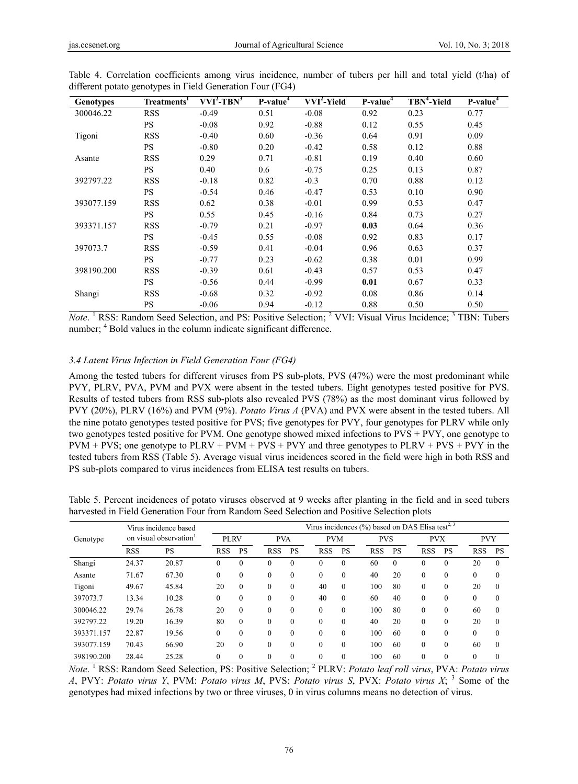| <b>Genotypes</b> | Treatments <sup>1</sup> | $\overline{\text{VVI}^2\text{-TBN}^3}$ | $P-value4$ | $\overline{\text{VVI}^2\text{-Yield}}$ | $P-value4$ | $TBN4-Yield$ | P-value <sup>4</sup> |
|------------------|-------------------------|----------------------------------------|------------|----------------------------------------|------------|--------------|----------------------|
| 300046.22        | <b>RSS</b>              | $-0.49$                                | 0.51       | $-0.08$                                | 0.92       | 0.23         | 0.77                 |
|                  | <b>PS</b>               | $-0.08$                                | 0.92       | $-0.88$                                | 0.12       | 0.55         | 0.45                 |
| Tigoni           | <b>RSS</b>              | $-0.40$                                | 0.60       | $-0.36$                                | 0.64       | 0.91         | 0.09                 |
|                  | <b>PS</b>               | $-0.80$                                | 0.20       | $-0.42$                                | 0.58       | 0.12         | 0.88                 |
| Asante           | <b>RSS</b>              | 0.29                                   | 0.71       | $-0.81$                                | 0.19       | 0.40         | 0.60                 |
|                  | <b>PS</b>               | 0.40                                   | 0.6        | $-0.75$                                | 0.25       | 0.13         | 0.87                 |
| 392797.22        | <b>RSS</b>              | $-0.18$                                | 0.82       | $-0.3$                                 | 0.70       | 0.88         | 0.12                 |
|                  | <b>PS</b>               | $-0.54$                                | 0.46       | $-0.47$                                | 0.53       | 0.10         | 0.90                 |
| 393077.159       | <b>RSS</b>              | 0.62                                   | 0.38       | $-0.01$                                | 0.99       | 0.53         | 0.47                 |
|                  | <b>PS</b>               | 0.55                                   | 0.45       | $-0.16$                                | 0.84       | 0.73         | 0.27                 |
| 393371.157       | <b>RSS</b>              | $-0.79$                                | 0.21       | $-0.97$                                | 0.03       | 0.64         | 0.36                 |
|                  | <b>PS</b>               | $-0.45$                                | 0.55       | $-0.08$                                | 0.92       | 0.83         | 0.17                 |
| 397073.7         | <b>RSS</b>              | $-0.59$                                | 0.41       | $-0.04$                                | 0.96       | 0.63         | 0.37                 |
|                  | <b>PS</b>               | $-0.77$                                | 0.23       | $-0.62$                                | 0.38       | 0.01         | 0.99                 |
| 398190.200       | <b>RSS</b>              | $-0.39$                                | 0.61       | $-0.43$                                | 0.57       | 0.53         | 0.47                 |
|                  | <b>PS</b>               | $-0.56$                                | 0.44       | $-0.99$                                | 0.01       | 0.67         | 0.33                 |
| Shangi           | <b>RSS</b>              | $-0.68$                                | 0.32       | $-0.92$                                | 0.08       | 0.86         | 0.14                 |
|                  | <b>PS</b>               | $-0.06$                                | 0.94       | $-0.12$                                | 0.88       | 0.50         | 0.50                 |

Table 4. Correlation coefficients among virus incidence, number of tubers per hill and total yield (t/ha) of different potato genotypes in Field Generation Four (FG4)

*Note*. <sup>1</sup> RSS: Random Seed Selection, and PS: Positive Selection; <sup>2</sup> VVI: Visual Virus Incidence; <sup>3</sup> TBN: Tubers number; <sup>4</sup> Bold values in the column indicate significant difference.

#### *3.4 Latent Virus Infection in Field Generation Four (FG4)*

Among the tested tubers for different viruses from PS sub-plots, PVS (47%) were the most predominant while PVY, PLRV, PVA, PVM and PVX were absent in the tested tubers. Eight genotypes tested positive for PVS. Results of tested tubers from RSS sub-plots also revealed PVS (78%) as the most dominant virus followed by PVY (20%), PLRV (16%) and PVM (9%). *Potato Virus A* (PVA) and PVX were absent in the tested tubers. All the nine potato genotypes tested positive for PVS; five genotypes for PVY, four genotypes for PLRV while only two genotypes tested positive for PVM. One genotype showed mixed infections to PVS + PVY, one genotype to PVM + PVS; one genotype to  $PLRV + PVM + PVS + PVY$  and three genotypes to  $PLRV + PVS + PVY$  in the tested tubers from RSS (Table 5). Average visual virus incidences scored in the field were high in both RSS and PS sub-plots compared to virus incidences from ELISA test results on tubers.

Table 5. Percent incidences of potato viruses observed at 9 weeks after planting in the field and in seed tubers harvested in Field Generation Four from Random Seed Selection and Positive Selection plots

| Genotype   | Virus incidence based | Virus incidences $\frac{0}{0}$ based on DAS Elisa test <sup>2, 3</sup> |             |           |            |           |            |                  |            |           |              |                  |            |           |
|------------|-----------------------|------------------------------------------------------------------------|-------------|-----------|------------|-----------|------------|------------------|------------|-----------|--------------|------------------|------------|-----------|
|            | on visual observation |                                                                        | <b>PLRV</b> |           | <b>PVA</b> |           | <b>PVM</b> |                  | <b>PVS</b> |           | <b>PVX</b>   |                  | <b>PVY</b> |           |
|            | <b>RSS</b>            | <b>PS</b>                                                              | <b>RSS</b>  | <b>PS</b> | <b>RSS</b> | <b>PS</b> | <b>RSS</b> | <b>PS</b>        | <b>RSS</b> | <b>PS</b> | <b>RSS</b>   | <b>PS</b>        | <b>RSS</b> | <b>PS</b> |
| Shangi     | 24.37                 | 20.87                                                                  | $\Omega$    | $\theta$  | 0          | 0         | $\Omega$   | 0                | 60         | $\Omega$  | $\theta$     | 0                | 20         |           |
| Asante     | 71.67                 | 67.30                                                                  | $\Omega$    | $\theta$  | 0          | $\theta$  | $\theta$   | $\boldsymbol{0}$ | 40         | 20        | $\mathbf{0}$ | $\boldsymbol{0}$ | $\theta$   |           |
| Tigoni     | 49.67                 | 45.84                                                                  | 20          | $\theta$  | $\theta$   | $\theta$  | 40         | $\mathbf{0}$     | 100        | 80        | $\mathbf{0}$ | $\boldsymbol{0}$ | 20         |           |
| 397073.7   | 13.34                 | 10.28                                                                  | $\theta$    | $\theta$  | $\theta$   | $\theta$  | 40         | $\theta$         | 60         | 40        | $\theta$     | $\boldsymbol{0}$ | 0          |           |
| 300046.22  | 29.74                 | 26.78                                                                  | 20          | $\Omega$  | $\theta$   | $\theta$  | $\theta$   | $\theta$         | 100        | 80        | $\theta$     | $\theta$         | 60         | $\Omega$  |
| 392797.22  | 19.20                 | 16.39                                                                  | 80          | $\theta$  | $\theta$   | $\Omega$  | $\Omega$   | $\theta$         | 40         | 20        | $\theta$     | $\theta$         | 20         | $\Omega$  |
| 393371.157 | 22.87                 | 19.56                                                                  | $\Omega$    | $\theta$  | $\theta$   | $\theta$  | $\Omega$   | $\theta$         | 100        | 60        | $\theta$     | $\theta$         | $\Omega$   |           |
| 393077.159 | 70.43                 | 66.90                                                                  | 20          | $\theta$  | $\theta$   | $\theta$  | $\Omega$   | $\theta$         | 100        | 60        | $\theta$     | $\theta$         | 60         |           |
| 398190.200 | 28.44                 | 25.28                                                                  | $\theta$    | $\theta$  | $\theta$   | 0         | $\theta$   | $\mathbf{0}$     | 100        | 60        | $\mathbf{0}$ | 0                | $\theta$   |           |

*Note.* <sup>1</sup> RSS: Random Seed Selection, PS: Positive Selection; <sup>2</sup> PLRV: *Potato leaf roll virus*, PVA: *Potato virus A*, PVY: *Potato virus Y*, PVM: *Potato virus M*, PVS: *Potato virus S*, PVX: *Potato virus X*; <sup>3</sup> Some of the genotypes had mixed infections by two or three viruses, 0 in virus columns means no detection of virus.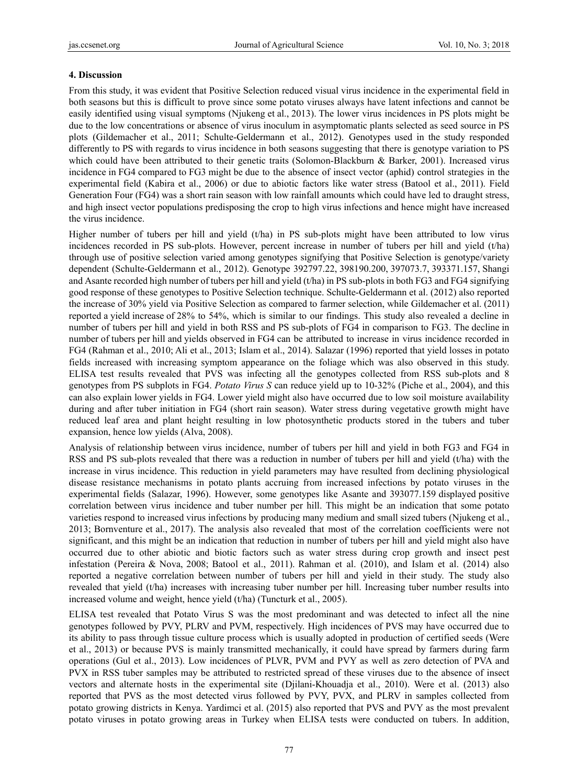# **4. Discussion**

From this study, it was evident that Positive Selection reduced visual virus incidence in the experimental field in both seasons but this is difficult to prove since some potato viruses always have latent infections and cannot be easily identified using visual symptoms (Njukeng et al., 2013). The lower virus incidences in PS plots might be due to the low concentrations or absence of virus inoculum in asymptomatic plants selected as seed source in PS plots (Gildemacher et al., 2011; Schulte-Geldermann et al., 2012). Genotypes used in the study responded differently to PS with regards to virus incidence in both seasons suggesting that there is genotype variation to PS which could have been attributed to their genetic traits (Solomon-Blackburn & Barker, 2001). Increased virus incidence in FG4 compared to FG3 might be due to the absence of insect vector (aphid) control strategies in the experimental field (Kabira et al., 2006) or due to abiotic factors like water stress (Batool et al., 2011). Field Generation Four (FG4) was a short rain season with low rainfall amounts which could have led to draught stress, and high insect vector populations predisposing the crop to high virus infections and hence might have increased the virus incidence.

Higher number of tubers per hill and yield (t/ha) in PS sub-plots might have been attributed to low virus incidences recorded in PS sub-plots. However, percent increase in number of tubers per hill and yield (t/ha) through use of positive selection varied among genotypes signifying that Positive Selection is genotype/variety dependent (Schulte-Geldermann et al., 2012). Genotype 392797.22, 398190.200, 397073.7, 393371.157, Shangi and Asante recorded high number of tubers per hill and yield (t/ha) in PS sub-plots in both FG3 and FG4 signifying good response of these genotypes to Positive Selection technique. Schulte-Geldermann et al. (2012) also reported the increase of 30% yield via Positive Selection as compared to farmer selection, while Gildemacher et al. (2011) reported a yield increase of 28% to 54%, which is similar to our findings. This study also revealed a decline in number of tubers per hill and yield in both RSS and PS sub-plots of FG4 in comparison to FG3. The decline in number of tubers per hill and yields observed in FG4 can be attributed to increase in virus incidence recorded in FG4 (Rahman et al., 2010; Ali et al., 2013; Islam et al., 2014). Salazar (1996) reported that yield losses in potato fields increased with increasing symptom appearance on the foliage which was also observed in this study. ELISA test results revealed that PVS was infecting all the genotypes collected from RSS sub-plots and 8 genotypes from PS subplots in FG4. *Potato Virus S* can reduce yield up to 10-32% (Piche et al., 2004), and this can also explain lower yields in FG4. Lower yield might also have occurred due to low soil moisture availability during and after tuber initiation in FG4 (short rain season). Water stress during vegetative growth might have reduced leaf area and plant height resulting in low photosynthetic products stored in the tubers and tuber expansion, hence low yields (Alva, 2008).

Analysis of relationship between virus incidence, number of tubers per hill and yield in both FG3 and FG4 in RSS and PS sub-plots revealed that there was a reduction in number of tubers per hill and yield (t/ha) with the increase in virus incidence. This reduction in yield parameters may have resulted from declining physiological disease resistance mechanisms in potato plants accruing from increased infections by potato viruses in the experimental fields (Salazar, 1996). However, some genotypes like Asante and 393077.159 displayed positive correlation between virus incidence and tuber number per hill. This might be an indication that some potato varieties respond to increased virus infections by producing many medium and small sized tubers (Njukeng et al., 2013; Bornventure et al., 2017). The analysis also revealed that most of the correlation coefficients were not significant, and this might be an indication that reduction in number of tubers per hill and yield might also have occurred due to other abiotic and biotic factors such as water stress during crop growth and insect pest infestation (Pereira & Nova, 2008; Batool et al., 2011). Rahman et al. (2010), and Islam et al. (2014) also reported a negative correlation between number of tubers per hill and yield in their study. The study also revealed that yield (t/ha) increases with increasing tuber number per hill. Increasing tuber number results into increased volume and weight, hence yield (t/ha) (Tuncturk et al., 2005).

ELISA test revealed that Potato Virus S was the most predominant and was detected to infect all the nine genotypes followed by PVY, PLRV and PVM, respectively. High incidences of PVS may have occurred due to its ability to pass through tissue culture process which is usually adopted in production of certified seeds (Were et al., 2013) or because PVS is mainly transmitted mechanically, it could have spread by farmers during farm operations (Gul et al., 2013). Low incidences of PLVR, PVM and PVY as well as zero detection of PVA and PVX in RSS tuber samples may be attributed to restricted spread of these viruses due to the absence of insect vectors and alternate hosts in the experimental site (Djilani-Khouadja et al., 2010). Were et al. (2013) also reported that PVS as the most detected virus followed by PVY, PVX, and PLRV in samples collected from potato growing districts in Kenya. Yardimci et al. (2015) also reported that PVS and PVY as the most prevalent potato viruses in potato growing areas in Turkey when ELISA tests were conducted on tubers. In addition,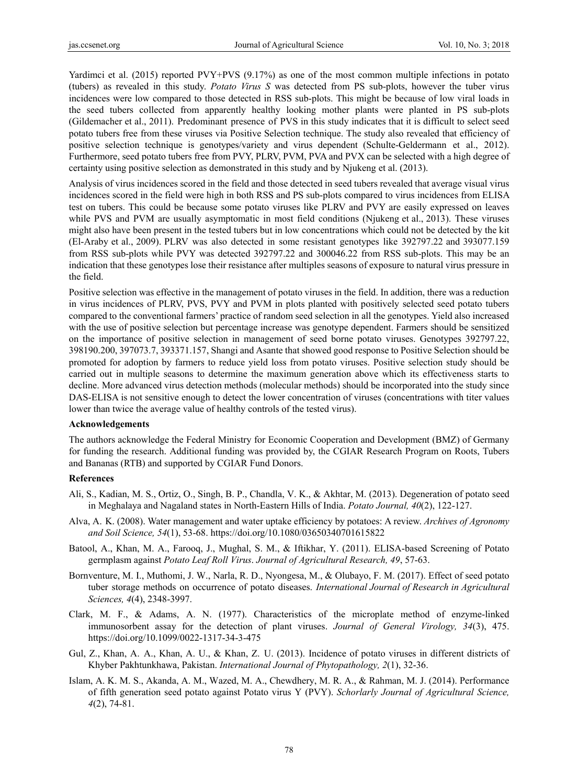Yardimci et al. (2015) reported PVY+PVS (9.17%) as one of the most common multiple infections in potato (tubers) as revealed in this study. *Potato Virus S* was detected from PS sub-plots, however the tuber virus incidences were low compared to those detected in RSS sub-plots. This might be because of low viral loads in the seed tubers collected from apparently healthy looking mother plants were planted in PS sub-plots (Gildemacher et al., 2011). Predominant presence of PVS in this study indicates that it is difficult to select seed potato tubers free from these viruses via Positive Selection technique. The study also revealed that efficiency of positive selection technique is genotypes/variety and virus dependent (Schulte-Geldermann et al., 2012). Furthermore, seed potato tubers free from PVY, PLRV, PVM, PVA and PVX can be selected with a high degree of certainty using positive selection as demonstrated in this study and by Njukeng et al. (2013).

Analysis of virus incidences scored in the field and those detected in seed tubers revealed that average visual virus incidences scored in the field were high in both RSS and PS sub-plots compared to virus incidences from ELISA test on tubers. This could be because some potato viruses like PLRV and PVY are easily expressed on leaves while PVS and PVM are usually asymptomatic in most field conditions (Njukeng et al., 2013). These viruses might also have been present in the tested tubers but in low concentrations which could not be detected by the kit (El-Araby et al., 2009). PLRV was also detected in some resistant genotypes like 392797.22 and 393077.159 from RSS sub-plots while PVY was detected 392797.22 and 300046.22 from RSS sub-plots. This may be an indication that these genotypes lose their resistance after multiples seasons of exposure to natural virus pressure in the field.

Positive selection was effective in the management of potato viruses in the field. In addition, there was a reduction in virus incidences of PLRV, PVS, PVY and PVM in plots planted with positively selected seed potato tubers compared to the conventional farmers' practice of random seed selection in all the genotypes. Yield also increased with the use of positive selection but percentage increase was genotype dependent. Farmers should be sensitized on the importance of positive selection in management of seed borne potato viruses. Genotypes 392797.22, 398190.200, 397073.7, 393371.157, Shangi and Asante that showed good response to Positive Selection should be promoted for adoption by farmers to reduce yield loss from potato viruses. Positive selection study should be carried out in multiple seasons to determine the maximum generation above which its effectiveness starts to decline. More advanced virus detection methods (molecular methods) should be incorporated into the study since DAS-ELISA is not sensitive enough to detect the lower concentration of viruses (concentrations with titer values lower than twice the average value of healthy controls of the tested virus).

#### **Acknowledgements**

The authors acknowledge the Federal Ministry for Economic Cooperation and Development (BMZ) of Germany for funding the research. Additional funding was provided by, the CGIAR Research Program on Roots, Tubers and Bananas (RTB) and supported by CGIAR Fund Donors.

#### **References**

- Ali, S., Kadian, M. S., Ortiz, O., Singh, B. P., Chandla, V. K., & Akhtar, M. (2013). Degeneration of potato seed in Meghalaya and Nagaland states in North-Eastern Hills of India. *Potato Journal, 40*(2), 122-127.
- Alva, A. K. (2008). Water management and water uptake efficiency by potatoes: A review. *Archives of Agronomy and Soil Science, 54*(1), 53-68. https://doi.org/10.1080/03650340701615822
- Batool, A., Khan, M. A., Farooq, J., Mughal, S. M., & Iftikhar, Y. (2011). ELISA-based Screening of Potato germplasm against *Potato Leaf Roll Virus*. *Journal of Agricultural Research, 49*, 57-63.
- Bornventure, M. I., Muthomi, J. W., Narla, R. D., Nyongesa, M., & Olubayo, F. M. (2017). Effect of seed potato tuber storage methods on occurrence of potato diseases. *International Journal of Research in Agricultural Sciences, 4*(4), 2348-3997.
- Clark, M. F., & Adams, A. N. (1977). Characteristics of the microplate method of enzyme-linked immunosorbent assay for the detection of plant viruses. *Journal of General Virology, 34*(3), 475. https://doi.org/10.1099/0022-1317-34-3-475
- Gul, Z., Khan, A. A., Khan, A. U., & Khan, Z. U. (2013). Incidence of potato viruses in different districts of Khyber Pakhtunkhawa, Pakistan. *International Journal of Phytopathology, 2*(1), 32-36.
- Islam, A. K. M. S., Akanda, A. M., Wazed, M. A., Chewdhery, M. R. A., & Rahman, M. J. (2014). Performance of fifth generation seed potato against Potato virus Y (PVY). *Schorlarly Journal of Agricultural Science, 4*(2), 74-81.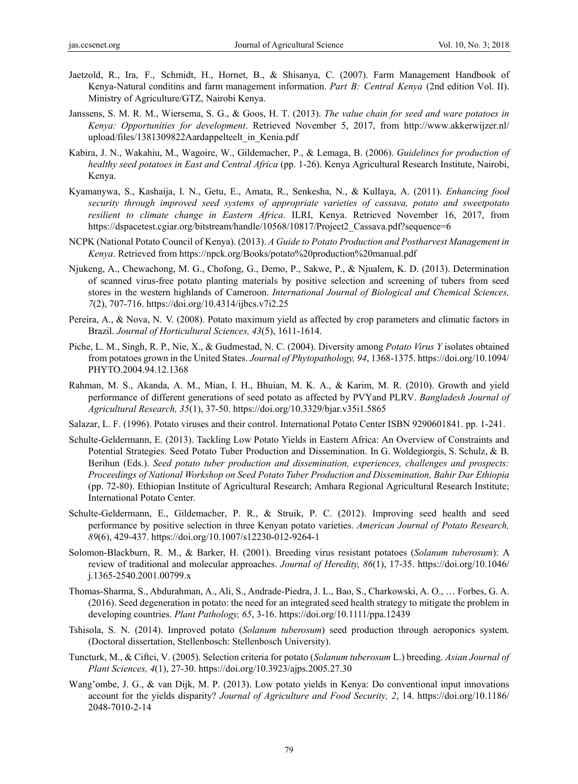- Jaetzold, R., Ira, F., Schmidt, H., Hornet, B., & Shisanya, C. (2007). Farm Management Handbook of Kenya-Natural conditins and farm management information. *Part B: Central Kenya* (2nd edition Vol. II). Ministry of Agriculture/GTZ, Nairobi Kenya.
- Janssens, S. M. R. M., Wiersema, S. G., & Goos, H. T. (2013). *The value chain for seed and ware potatoes in Kenya: Opportunities for development*. Retrieved November 5, 2017, from http://www.akkerwijzer.nl/ upload/files/1381309822Aardappelteelt\_in\_Kenia.pdf
- Kabira, J. N., Wakahiu, M., Wagoire, W., Gildemacher, P., & Lemaga, B. (2006). *Guidelines for production of healthy seed potatoes in East and Central Africa* (pp. 1-26). Kenya Agricultural Research Institute, Nairobi, Kenya.
- Kyamanywa, S., Kashaija, I. N., Getu, E., Amata, R., Senkesha, N., & Kullaya, A. (2011). *Enhancing food security through improved seed systems of appropriate varieties of cassava, potato and sweetpotato resilient to climate change in Eastern Africa*. ILRI, Kenya. Retrieved November 16, 2017, from https://dspacetest.cgiar.org/bitstream/handle/10568/10817/Project2\_Cassava.pdf?sequence=6
- NCPK (National Potato Council of Kenya). (2013). *A Guide to Potato Production and Postharvest Management in Kenya*. Retrieved from https://npck.org/Books/potato%20production%20manual.pdf
- Njukeng, A., Chewachong, M. G., Chofong, G., Demo, P., Sakwe, P., & Njualem, K. D. (2013). Determination of scanned virus-free potato planting materials by positive selection and screening of tubers from seed stores in the western highlands of Cameroon. *International Journal of Biological and Chemical Sciences, 7*(2), 707-716. https://doi.org/10.4314/ijbcs.v7i2.25
- Pereira, A., & Nova, N. V. (2008). Potato maximum yield as affected by crop parameters and climatic factors in Brazil. *Journal of Horticultural Sciences, 43*(5), 1611-1614.
- Piche, L. M., Singh, R. P., Nie, X., & Gudmestad, N. C. (2004). Diversity among *Potato Virus Y* isolates obtained from potatoes grown in the United States. *Journal of Phytopathology, 94*, 1368-1375. https://doi.org/10.1094/ PHYTO.2004.94.12.1368
- Rahman, M. S., Akanda, A. M., Mian, I. H., Bhuian, M. K. A., & Karim, M. R. (2010). Growth and yield performance of different generations of seed potato as affected by PVYand PLRV. *Bangladesh Journal of Agricultural Research, 35*(1), 37-50. https://doi.org/10.3329/bjar.v35i1.5865
- Salazar, L. F. (1996). Potato viruses and their control. International Potato Center ISBN 9290601841. pp. 1-241.
- Schulte-Geldermann, E. (2013). Tackling Low Potato Yields in Eastern Africa: An Overview of Constraints and Potential Strategies. Seed Potato Tuber Production and Dissemination. In G. Woldegiorgis, S. Schulz, & B. Berihun (Eds.). *Seed potato tuber production and dissemination, experiences, challenges and prospects: Proceedings of National Workshop on Seed Potato Tuber Production and Dissemination, Bahir Dar Ethiopia*  (pp. 72-80). Ethiopian Institute of Agricultural Research; Amhara Regional Agricultural Research Institute; International Potato Center.
- Schulte-Geldermann, E., Gildemacher, P. R., & Struik, P. C. (2012). Improving seed health and seed performance by positive selection in three Kenyan potato varieties. *American Journal of Potato Research, 89*(6), 429-437. https://doi.org/10.1007/s12230-012-9264-1
- Solomon-Blackburn, R. M., & Barker, H. (2001). Breeding virus resistant potatoes (*Solanum tuberosum*): A review of traditional and molecular approaches. *Journal of Heredity, 86*(1), 17-35. https://doi.org/10.1046/ j.1365-2540.2001.00799.x
- Thomas-Sharma, S., Abdurahman, A., Ali, S., Andrade-Piedra, J. L., Bao, S., Charkowski, A. O., … Forbes, G. A. (2016). Seed degeneration in potato: the need for an integrated seed health strategy to mitigate the problem in developing countries. *Plant Pathology, 65*, 3-16. https://doi.org/10.1111/ppa.12439
- Tshisola, S. N. (2014). Improved potato (*Solanum tuberosum*) seed production through aeroponics system. (Doctoral dissertation, Stellenbosch: Stellenbosch University).
- Tuncturk, M., & Ciftci, V. (2005). Selection criteria for potato (*Solanum tuberosum* L.) breeding. *Asian Journal of Plant Sciences, 4*(1), 27-30. https://doi.org/10.3923/ajps.2005.27.30
- Wang'ombe, J. G., & van Dijk, M. P. (2013). Low potato yields in Kenya: Do conventional input innovations account for the yields disparity? *Journal of Agriculture and Food Security, 2*, 14. https://doi.org/10.1186/ 2048-7010-2-14